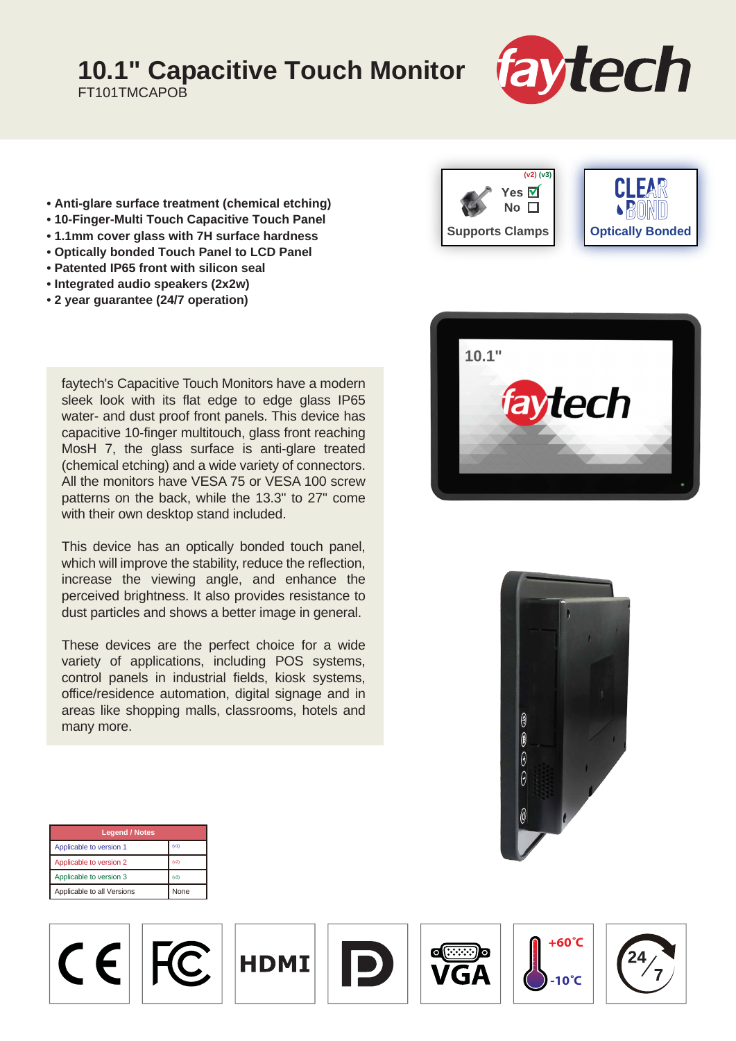## **10.1" Capacitive Touch Monitor**

FT101TMCAPOB



- **Anti-glare surface treatment (chemical etching)**
- **10-Finger-Multi Touch Capacitive Touch Panel**
- **1.1mm cover glass with 7H surface hardness**
- **Optically bonded Touch Panel to LCD Panel**
- **Patented IP65 front with silicon seal**
- **Integrated audio speakers (2x2w)**
- **2 year guarantee (24/7 operation)**

faytech's Capacitive Touch Monitors have a modern sleek look with its flat edge to edge glass IP65 water- and dust proof front panels. This device has capacitive 10-finger multitouch, glass front reaching MosH 7, the glass surface is anti-glare treated (chemical etching) and a wide variety of connectors. All the monitors have VESA 75 or VESA 100 screw patterns on the back, while the 13.3" to 27" come with their own desktop stand included.

This device has an optically bonded touch panel, which will improve the stability, reduce the reflection, increase the viewing angle, and enhance the perceived brightness. It also provides resistance to dust particles and shows a better image in general.

These devices are the perfect choice for a wide variety of applications, including POS systems, control panels in industrial fields, kiosk systems, office/residence automation, digital signage and in areas like shopping malls, classrooms, hotels and many more.







| <b>Legend / Notes</b>                     |      |
|-------------------------------------------|------|
| Applicable to version 1                   | (v1) |
| Applicable to version 2                   | (v2) |
| Applicable to version 3                   | (v3) |
| Applicable to all Versions<br><b>None</b> |      |

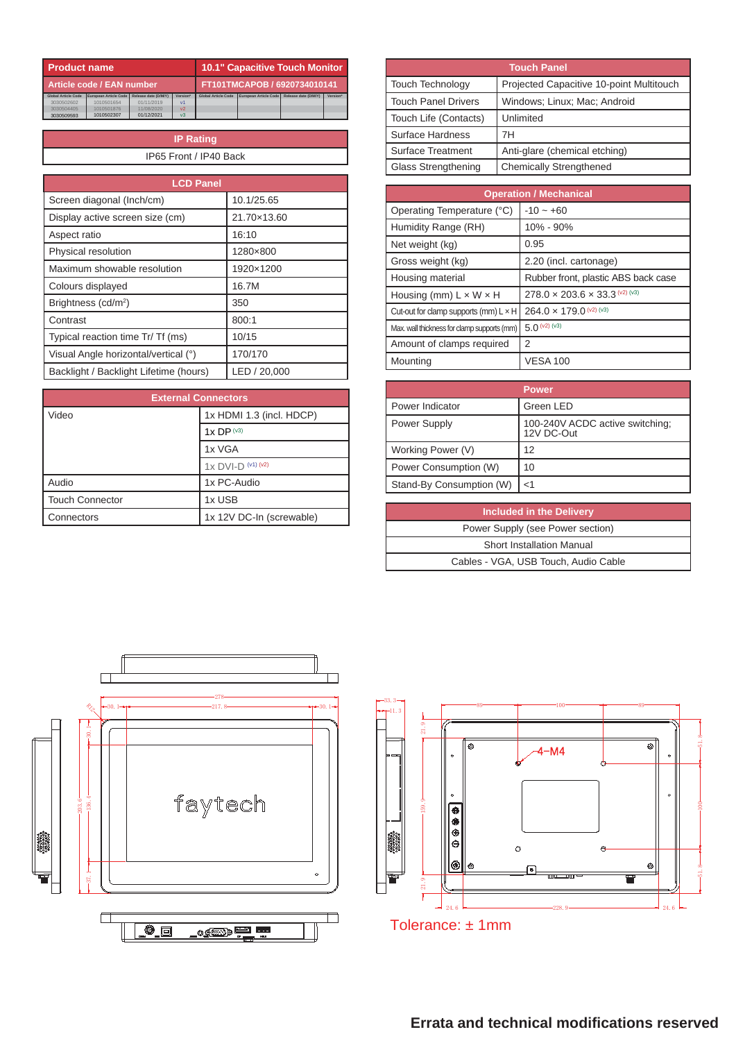| <b>Product name</b>        |                       |                              | <b>10.1" Capacitive Touch Monitor</b> |                            |                       |                      |          |
|----------------------------|-----------------------|------------------------------|---------------------------------------|----------------------------|-----------------------|----------------------|----------|
| Article code / EAN number  |                       | FT101TMCAPOB / 6920734010141 |                                       |                            |                       |                      |          |
| <b>Global Article Code</b> | European Article Code | Release date (D/M/Y)         | <b>Version*</b>                       | <b>Global Article Code</b> | European Article Code | Release date (D/M/Y) | Version* |
| 3030502602                 | 1010501654            | 01/11/2019                   | V <sub>1</sub>                        |                            |                       |                      |          |
| 3030504405                 | 1010501876            | 11/08/2020                   | V <sub>2</sub>                        |                            |                       |                      |          |
| 3030509593                 | 1010502307            | 01/12/2021                   | v <sub>3</sub>                        |                            |                       |                      |          |

| <b>IP Rating</b> |                        |  |  |
|------------------|------------------------|--|--|
|                  | IP65 Front / IP40 Back |  |  |

| <b>LCD Panel</b>                       |              |
|----------------------------------------|--------------|
| Screen diagonal (Inch/cm)              | 10.1/25.65   |
| Display active screen size (cm)        | 21.70×13.60  |
| Aspect ratio                           | 16:10        |
| Physical resolution                    | 1280×800     |
| Maximum showable resolution            | 1920×1200    |
| Colours displayed                      | 16.7M        |
| Brightness (cd/m <sup>2</sup> )        | 350          |
| Contrast                               | 800:1        |
| Typical reaction time Tr/ Tf (ms)      | 10/15        |
| Visual Angle horizontal/vertical (°)   | 170/170      |
| Backlight / Backlight Lifetime (hours) | LED / 20,000 |

| <b>External Connectors</b> |                          |  |
|----------------------------|--------------------------|--|
| Video                      | 1x HDMI 1.3 (incl. HDCP) |  |
|                            | $1xDP^{(v3)}$            |  |
|                            | 1x VGA                   |  |
|                            | $1x$ DVI-D $(41)$ $(42)$ |  |
| Audio                      | 1x PC-Audio              |  |
| <b>Touch Connector</b>     | 1x USB                   |  |
| Connectors                 | 1x 12V DC-In (screwable) |  |

| <b>Touch Panel</b>    |                                          |  |  |
|-----------------------|------------------------------------------|--|--|
| Touch Technology      | Projected Capacitive 10-point Multitouch |  |  |
| l Touch Panel Drivers | Windows: Linux: Mac: Android             |  |  |
| Touch Life (Contacts) | Unlimited                                |  |  |
| Surface Hardness      | 7Н                                       |  |  |
| Surface Treatment     | Anti-glare (chemical etching)            |  |  |
| Glass Strengthening   | <b>Chemically Strengthened</b>           |  |  |

| <b>Operation / Mechanical</b>                |                                             |  |
|----------------------------------------------|---------------------------------------------|--|
| Operating Temperature (°C)                   | $-10 - +60$                                 |  |
| Humidity Range (RH)                          | 10% - 90%                                   |  |
| Net weight (kg)                              | 0.95                                        |  |
| Gross weight (kg)                            | 2.20 (incl. cartonage)                      |  |
| Housing material                             | Rubber front, plastic ABS back case         |  |
| Housing (mm) $L \times W \times H$           | $278.0 \times 203.6 \times 33.3^{(v2)(v3)}$ |  |
| Cut-out for clamp supports (mm) $L \times H$ | $264.0 \times 179.0$ (v2) (v3)              |  |
| Max. wall thickness for clamp supports (mm)  | $5.0^{(v2)(v3)}$                            |  |
| Amount of clamps required                    | 2                                           |  |
| Mounting                                     | <b>VESA 100</b>                             |  |

|                          | <b>Power</b>                                  |
|--------------------------|-----------------------------------------------|
| Power Indicator          | Green LED                                     |
| Power Supply             | 100-240V ACDC active switching;<br>12V DC-Out |
| Working Power (V)        | 12                                            |
| Power Consumption (W)    | 10                                            |
| Stand-By Consumption (W) | $<$ 1                                         |

| Included in the Delivery             |
|--------------------------------------|
| Power Supply (see Power section)     |
| Short Installation Manual            |
| Cables - VGA, USB Touch, Audio Cable |